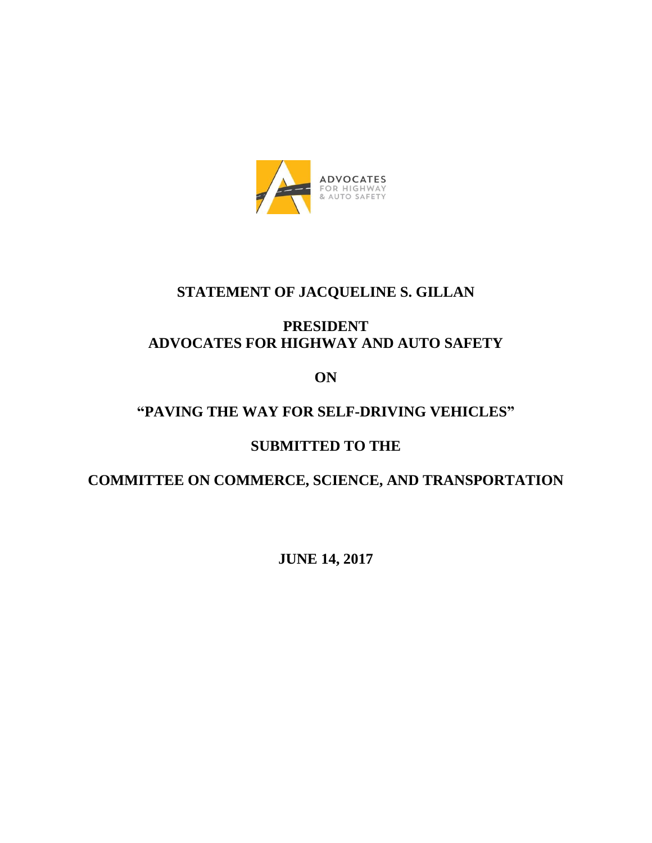

## **STATEMENT OF JACQUELINE S. GILLAN**

## **PRESIDENT ADVOCATES FOR HIGHWAY AND AUTO SAFETY**

**ON**

## **"PAVING THE WAY FOR SELF-DRIVING VEHICLES"**

# **SUBMITTED TO THE**

## **COMMITTEE ON COMMERCE, SCIENCE, AND TRANSPORTATION**

**JUNE 14, 2017**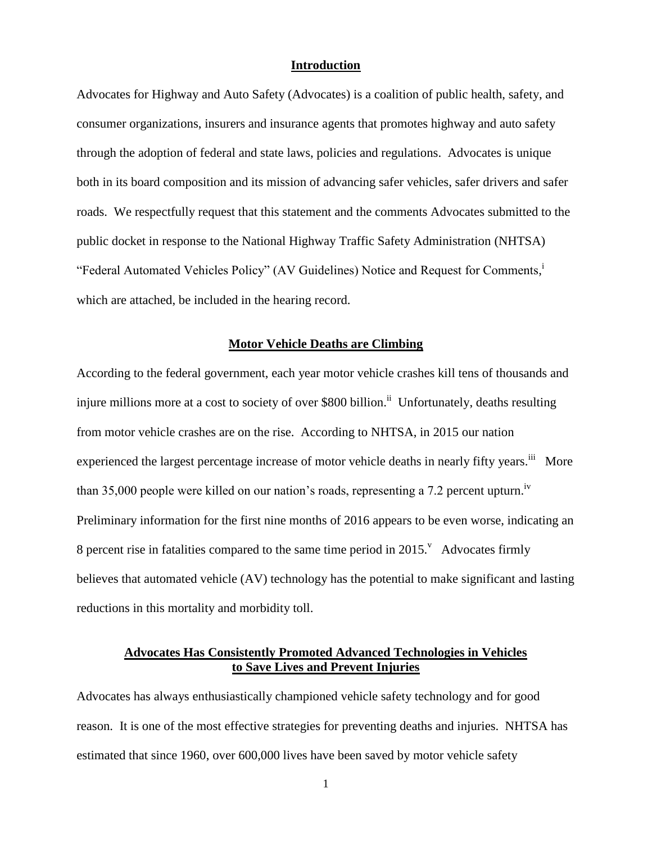#### **Introduction**

Advocates for Highway and Auto Safety (Advocates) is a coalition of public health, safety, and consumer organizations, insurers and insurance agents that promotes highway and auto safety through the adoption of federal and state laws, policies and regulations. Advocates is unique both in its board composition and its mission of advancing safer vehicles, safer drivers and safer roads. We respectfully request that this statement and the comments Advocates submitted to the public docket in response to the National Highway Traffic Safety Administration (NHTSA) "Federal Automated Vehicles Policy" (AV Guidelines) Notice and Request for Comments,<sup>i</sup> which are attached, be included in the hearing record.

#### **Motor Vehicle Deaths are Climbing**

According to the federal government, each year motor vehicle crashes kill tens of thousands and injure millions more at a cost to society of over \$800 billion.<sup>ii</sup> Unfortunately, deaths resulting from motor vehicle crashes are on the rise. According to NHTSA, in 2015 our nation experienced the largest percentage increase of motor vehicle deaths in nearly fifty years.<sup>iii</sup> More than 35,000 people were killed on our nation's roads, representing a 7.2 percent upturn.<sup>iv</sup> Preliminary information for the first nine months of 2016 appears to be even worse, indicating an 8 percent rise in fatalities compared to the same time period in  $2015$ . Advocates firmly believes that automated vehicle (AV) technology has the potential to make significant and lasting reductions in this mortality and morbidity toll.

## **Advocates Has Consistently Promoted Advanced Technologies in Vehicles to Save Lives and Prevent Injuries**

Advocates has always enthusiastically championed vehicle safety technology and for good reason. It is one of the most effective strategies for preventing deaths and injuries. NHTSA has estimated that since 1960, over 600,000 lives have been saved by motor vehicle safety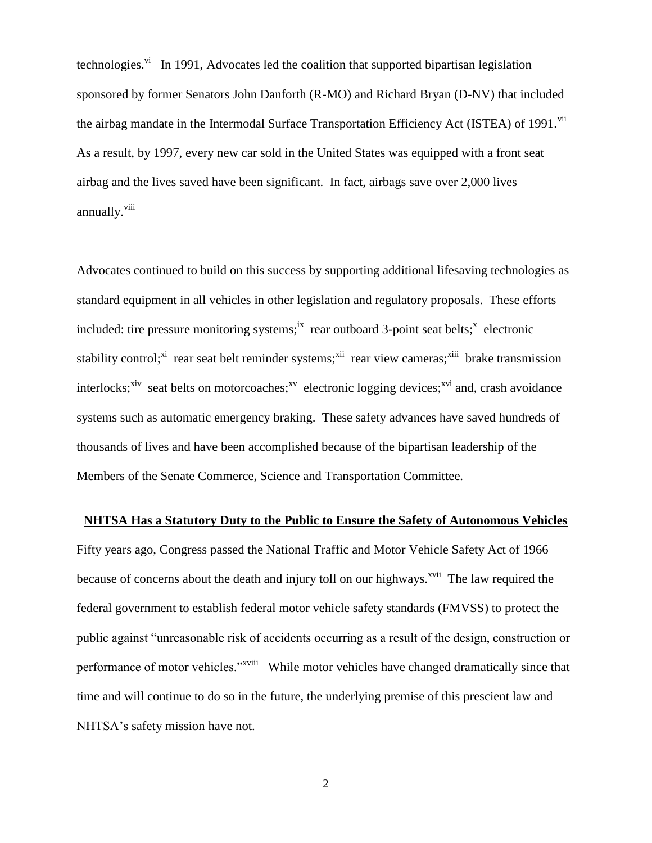technologies.<sup>vi</sup> In 1991, Advocates led the coalition that supported bipartisan legislation sponsored by former Senators John Danforth (R-MO) and Richard Bryan (D-NV) that included the airbag mandate in the Intermodal Surface Transportation Efficiency Act (ISTEA) of 1991.<sup>vii</sup> As a result, by 1997, every new car sold in the United States was equipped with a front seat airbag and the lives saved have been significant. In fact, airbags save over 2,000 lives annually. <sup>viii</sup>

Advocates continued to build on this success by supporting additional lifesaving technologies as standard equipment in all vehicles in other legislation and regulatory proposals. These efforts included: tire pressure monitoring systems;<sup>ix</sup> rear outboard 3-point seat belts;<sup>x</sup> electronic stability control;<sup>xi</sup> rear seat belt reminder systems;<sup>xii</sup> rear view cameras;<sup>xiii</sup> brake transmission interlocks;<sup>xiv</sup> seat belts on motorcoaches;<sup>xv</sup> electronic logging devices;<sup>xvi</sup> and, crash avoidance systems such as automatic emergency braking. These safety advances have saved hundreds of thousands of lives and have been accomplished because of the bipartisan leadership of the Members of the Senate Commerce, Science and Transportation Committee.

#### **NHTSA Has a Statutory Duty to the Public to Ensure the Safety of Autonomous Vehicles**

Fifty years ago, Congress passed the National Traffic and Motor Vehicle Safety Act of 1966 because of concerns about the death and injury toll on our highways.<sup>xvii</sup> The law required the federal government to establish federal motor vehicle safety standards (FMVSS) to protect the public against "unreasonable risk of accidents occurring as a result of the design, construction or performance of motor vehicles."<sup>xviii</sup> While motor vehicles have changed dramatically since that time and will continue to do so in the future, the underlying premise of this prescient law and NHTSA's safety mission have not.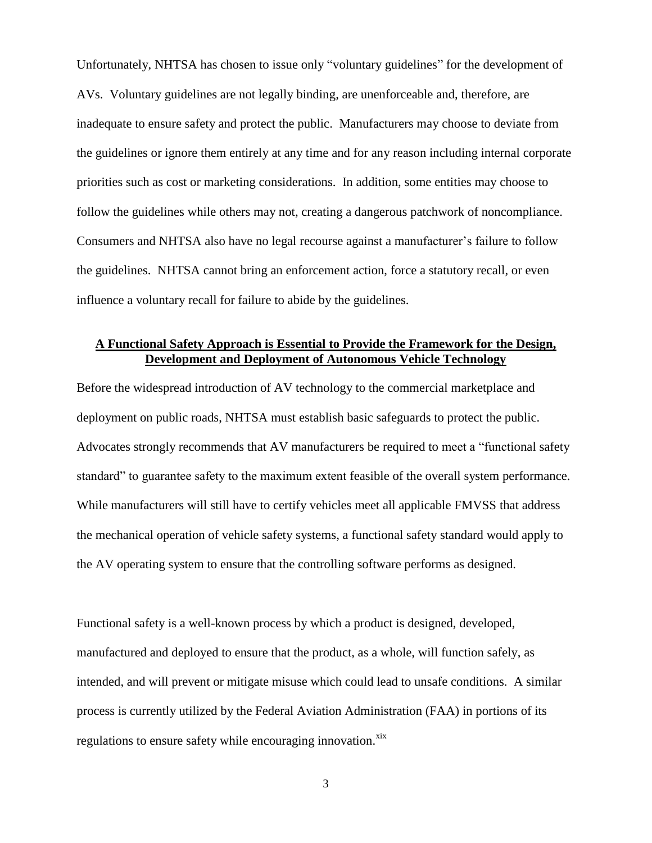Unfortunately, NHTSA has chosen to issue only "voluntary guidelines" for the development of AVs. Voluntary guidelines are not legally binding, are unenforceable and, therefore, are inadequate to ensure safety and protect the public. Manufacturers may choose to deviate from the guidelines or ignore them entirely at any time and for any reason including internal corporate priorities such as cost or marketing considerations. In addition, some entities may choose to follow the guidelines while others may not, creating a dangerous patchwork of noncompliance. Consumers and NHTSA also have no legal recourse against a manufacturer's failure to follow the guidelines. NHTSA cannot bring an enforcement action, force a statutory recall, or even influence a voluntary recall for failure to abide by the guidelines.

## **A Functional Safety Approach is Essential to Provide the Framework for the Design, Development and Deployment of Autonomous Vehicle Technology**

Before the widespread introduction of AV technology to the commercial marketplace and deployment on public roads, NHTSA must establish basic safeguards to protect the public. Advocates strongly recommends that AV manufacturers be required to meet a "functional safety standard" to guarantee safety to the maximum extent feasible of the overall system performance. While manufacturers will still have to certify vehicles meet all applicable FMVSS that address the mechanical operation of vehicle safety systems, a functional safety standard would apply to the AV operating system to ensure that the controlling software performs as designed.

Functional safety is a well-known process by which a product is designed, developed, manufactured and deployed to ensure that the product, as a whole, will function safely, as intended, and will prevent or mitigate misuse which could lead to unsafe conditions. A similar process is currently utilized by the Federal Aviation Administration (FAA) in portions of its regulations to ensure safety while encouraging innovation.<sup>xix</sup>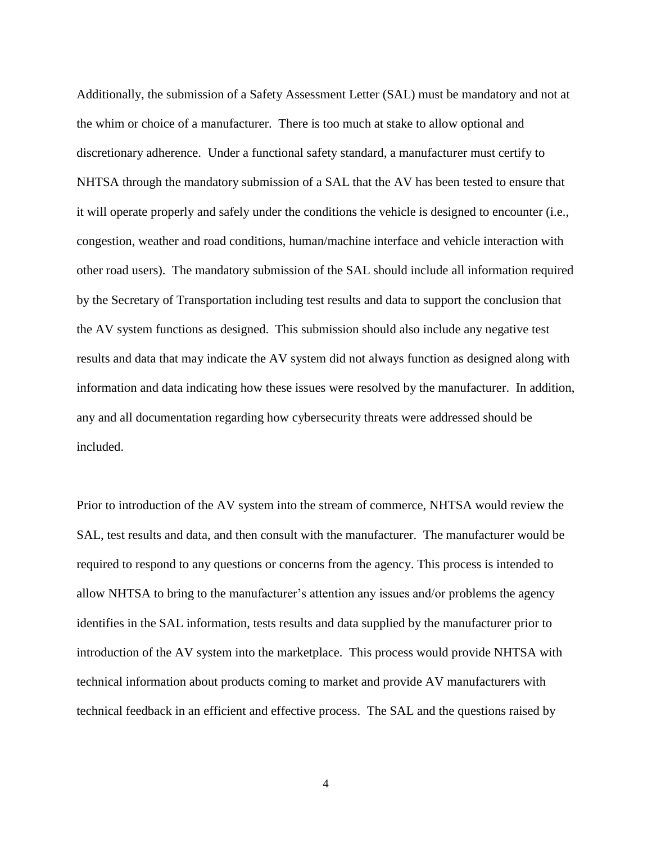Additionally, the submission of a Safety Assessment Letter (SAL) must be mandatory and not at the whim or choice of a manufacturer. There is too much at stake to allow optional and discretionary adherence. Under a functional safety standard, a manufacturer must certify to NHTSA through the mandatory submission of a SAL that the AV has been tested to ensure that it will operate properly and safely under the conditions the vehicle is designed to encounter (i.e., congestion, weather and road conditions, human/machine interface and vehicle interaction with other road users). The mandatory submission of the SAL should include all information required by the Secretary of Transportation including test results and data to support the conclusion that the AV system functions as designed. This submission should also include any negative test results and data that may indicate the AV system did not always function as designed along with information and data indicating how these issues were resolved by the manufacturer. In addition, any and all documentation regarding how cybersecurity threats were addressed should be included.

Prior to introduction of the AV system into the stream of commerce, NHTSA would review the SAL, test results and data, and then consult with the manufacturer. The manufacturer would be required to respond to any questions or concerns from the agency. This process is intended to allow NHTSA to bring to the manufacturer's attention any issues and/or problems the agency identifies in the SAL information, tests results and data supplied by the manufacturer prior to introduction of the AV system into the marketplace. This process would provide NHTSA with technical information about products coming to market and provide AV manufacturers with technical feedback in an efficient and effective process. The SAL and the questions raised by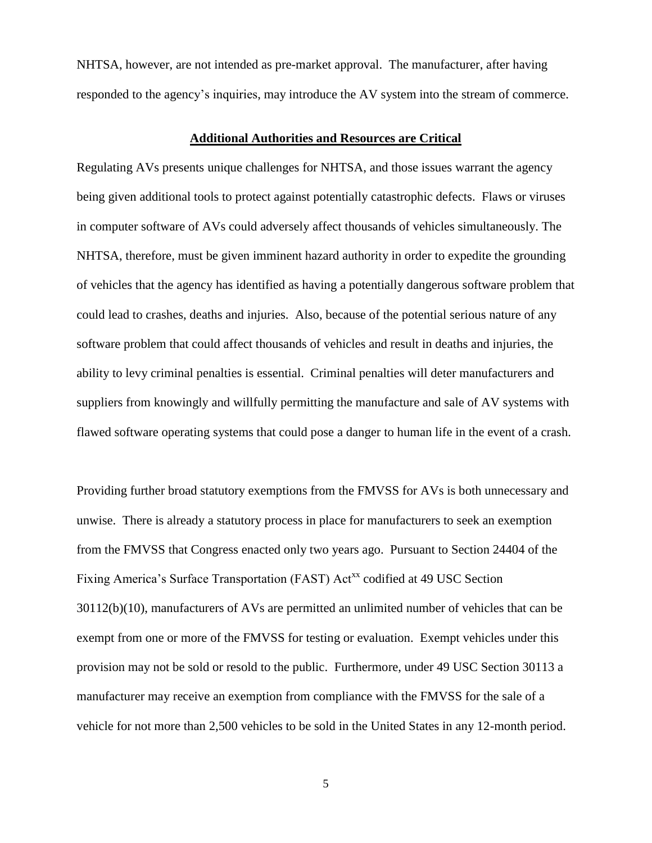NHTSA, however, are not intended as pre-market approval. The manufacturer, after having responded to the agency's inquiries, may introduce the AV system into the stream of commerce.

### **Additional Authorities and Resources are Critical**

Regulating AVs presents unique challenges for NHTSA, and those issues warrant the agency being given additional tools to protect against potentially catastrophic defects. Flaws or viruses in computer software of AVs could adversely affect thousands of vehicles simultaneously. The NHTSA, therefore, must be given imminent hazard authority in order to expedite the grounding of vehicles that the agency has identified as having a potentially dangerous software problem that could lead to crashes, deaths and injuries. Also, because of the potential serious nature of any software problem that could affect thousands of vehicles and result in deaths and injuries, the ability to levy criminal penalties is essential. Criminal penalties will deter manufacturers and suppliers from knowingly and willfully permitting the manufacture and sale of AV systems with flawed software operating systems that could pose a danger to human life in the event of a crash.

Providing further broad statutory exemptions from the FMVSS for AVs is both unnecessary and unwise. There is already a statutory process in place for manufacturers to seek an exemption from the FMVSS that Congress enacted only two years ago. Pursuant to Section 24404 of the Fixing America's Surface Transportation (FAST) Act<sup>xx</sup> codified at 49 USC Section 30112(b)(10), manufacturers of AVs are permitted an unlimited number of vehicles that can be exempt from one or more of the FMVSS for testing or evaluation. Exempt vehicles under this provision may not be sold or resold to the public. Furthermore, under 49 USC Section 30113 a manufacturer may receive an exemption from compliance with the FMVSS for the sale of a vehicle for not more than 2,500 vehicles to be sold in the United States in any 12-month period.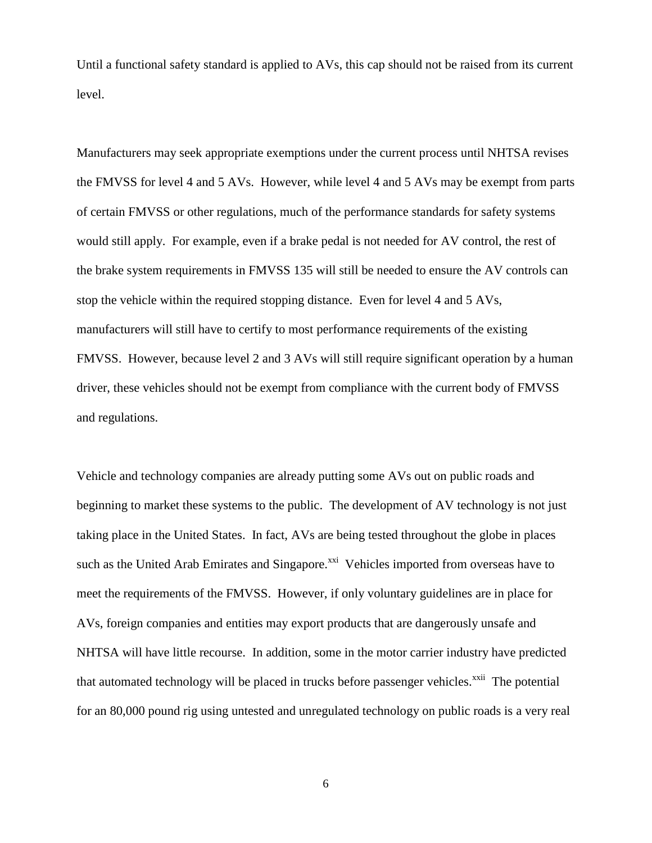Until a functional safety standard is applied to AVs, this cap should not be raised from its current level.

Manufacturers may seek appropriate exemptions under the current process until NHTSA revises the FMVSS for level 4 and 5 AVs. However, while level 4 and 5 AVs may be exempt from parts of certain FMVSS or other regulations, much of the performance standards for safety systems would still apply. For example, even if a brake pedal is not needed for AV control, the rest of the brake system requirements in FMVSS 135 will still be needed to ensure the AV controls can stop the vehicle within the required stopping distance. Even for level 4 and 5 AVs, manufacturers will still have to certify to most performance requirements of the existing FMVSS. However, because level 2 and 3 AVs will still require significant operation by a human driver, these vehicles should not be exempt from compliance with the current body of FMVSS and regulations.

Vehicle and technology companies are already putting some AVs out on public roads and beginning to market these systems to the public. The development of AV technology is not just taking place in the United States. In fact, AVs are being tested throughout the globe in places such as the United Arab Emirates and Singapore.<sup>xxi</sup> Vehicles imported from overseas have to meet the requirements of the FMVSS. However, if only voluntary guidelines are in place for AVs, foreign companies and entities may export products that are dangerously unsafe and NHTSA will have little recourse. In addition, some in the motor carrier industry have predicted that automated technology will be placed in trucks before passenger vehicles.<sup>xxii</sup> The potential for an 80,000 pound rig using untested and unregulated technology on public roads is a very real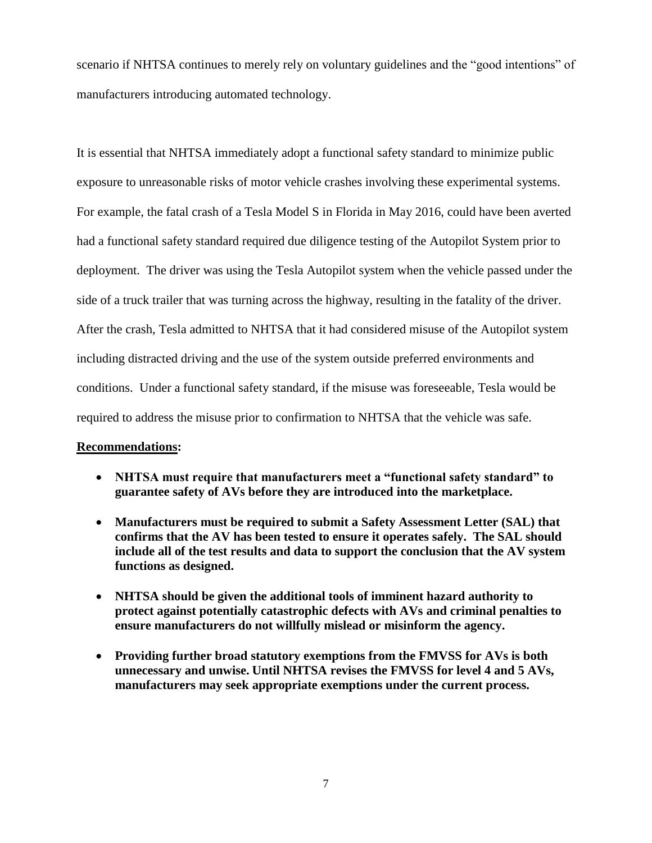scenario if NHTSA continues to merely rely on voluntary guidelines and the "good intentions" of manufacturers introducing automated technology.

It is essential that NHTSA immediately adopt a functional safety standard to minimize public exposure to unreasonable risks of motor vehicle crashes involving these experimental systems. For example, the fatal crash of a Tesla Model S in Florida in May 2016, could have been averted had a functional safety standard required due diligence testing of the Autopilot System prior to deployment. The driver was using the Tesla Autopilot system when the vehicle passed under the side of a truck trailer that was turning across the highway, resulting in the fatality of the driver. After the crash, Tesla admitted to NHTSA that it had considered misuse of the Autopilot system including distracted driving and the use of the system outside preferred environments and conditions. Under a functional safety standard, if the misuse was foreseeable, Tesla would be required to address the misuse prior to confirmation to NHTSA that the vehicle was safe.

#### **Recommendations:**

- **NHTSA must require that manufacturers meet a "functional safety standard" to guarantee safety of AVs before they are introduced into the marketplace.**
- **Manufacturers must be required to submit a Safety Assessment Letter (SAL) that confirms that the AV has been tested to ensure it operates safely. The SAL should include all of the test results and data to support the conclusion that the AV system functions as designed.**
- **NHTSA should be given the additional tools of imminent hazard authority to protect against potentially catastrophic defects with AVs and criminal penalties to ensure manufacturers do not willfully mislead or misinform the agency.**
- **Providing further broad statutory exemptions from the FMVSS for AVs is both unnecessary and unwise. Until NHTSA revises the FMVSS for level 4 and 5 AVs, manufacturers may seek appropriate exemptions under the current process.**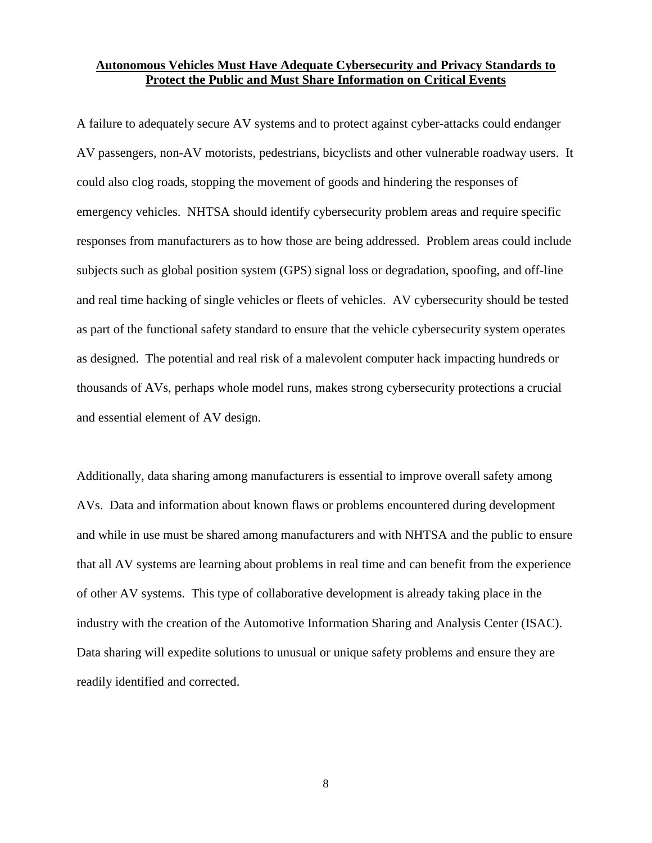### **Autonomous Vehicles Must Have Adequate Cybersecurity and Privacy Standards to Protect the Public and Must Share Information on Critical Events**

A failure to adequately secure AV systems and to protect against cyber-attacks could endanger AV passengers, non-AV motorists, pedestrians, bicyclists and other vulnerable roadway users. It could also clog roads, stopping the movement of goods and hindering the responses of emergency vehicles. NHTSA should identify cybersecurity problem areas and require specific responses from manufacturers as to how those are being addressed. Problem areas could include subjects such as global position system (GPS) signal loss or degradation, spoofing, and off-line and real time hacking of single vehicles or fleets of vehicles. AV cybersecurity should be tested as part of the functional safety standard to ensure that the vehicle cybersecurity system operates as designed. The potential and real risk of a malevolent computer hack impacting hundreds or thousands of AVs, perhaps whole model runs, makes strong cybersecurity protections a crucial and essential element of AV design.

Additionally, data sharing among manufacturers is essential to improve overall safety among AVs. Data and information about known flaws or problems encountered during development and while in use must be shared among manufacturers and with NHTSA and the public to ensure that all AV systems are learning about problems in real time and can benefit from the experience of other AV systems. This type of collaborative development is already taking place in the industry with the creation of the Automotive Information Sharing and Analysis Center (ISAC). Data sharing will expedite solutions to unusual or unique safety problems and ensure they are readily identified and corrected.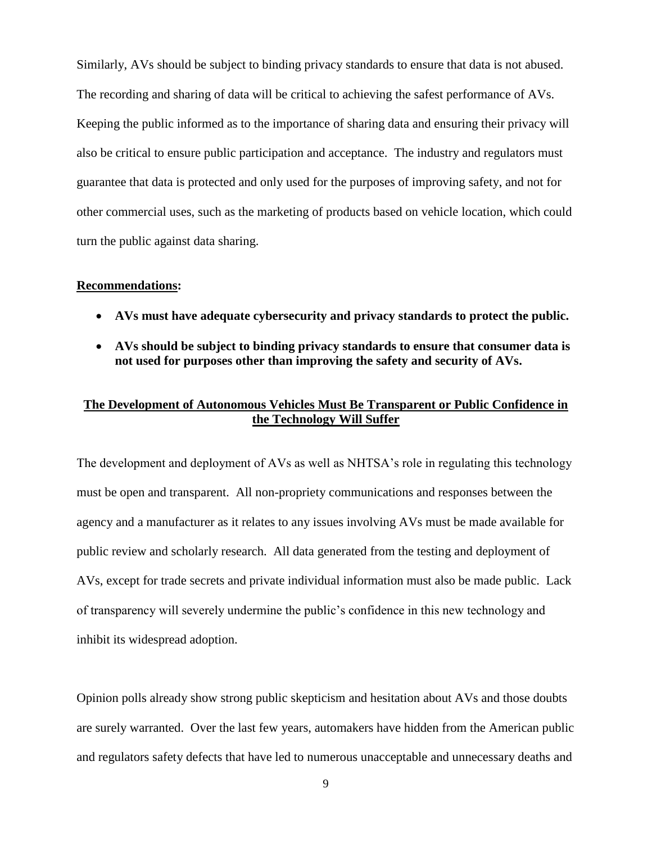Similarly, AVs should be subject to binding privacy standards to ensure that data is not abused. The recording and sharing of data will be critical to achieving the safest performance of AVs. Keeping the public informed as to the importance of sharing data and ensuring their privacy will also be critical to ensure public participation and acceptance. The industry and regulators must guarantee that data is protected and only used for the purposes of improving safety, and not for other commercial uses, such as the marketing of products based on vehicle location, which could turn the public against data sharing.

#### **Recommendations:**

- **AVs must have adequate cybersecurity and privacy standards to protect the public.**
- **AVs should be subject to binding privacy standards to ensure that consumer data is not used for purposes other than improving the safety and security of AVs.**

## **The Development of Autonomous Vehicles Must Be Transparent or Public Confidence in the Technology Will Suffer**

The development and deployment of AVs as well as NHTSA's role in regulating this technology must be open and transparent. All non-propriety communications and responses between the agency and a manufacturer as it relates to any issues involving AVs must be made available for public review and scholarly research. All data generated from the testing and deployment of AVs, except for trade secrets and private individual information must also be made public. Lack of transparency will severely undermine the public's confidence in this new technology and inhibit its widespread adoption.

Opinion polls already show strong public skepticism and hesitation about AVs and those doubts are surely warranted. Over the last few years, automakers have hidden from the American public and regulators safety defects that have led to numerous unacceptable and unnecessary deaths and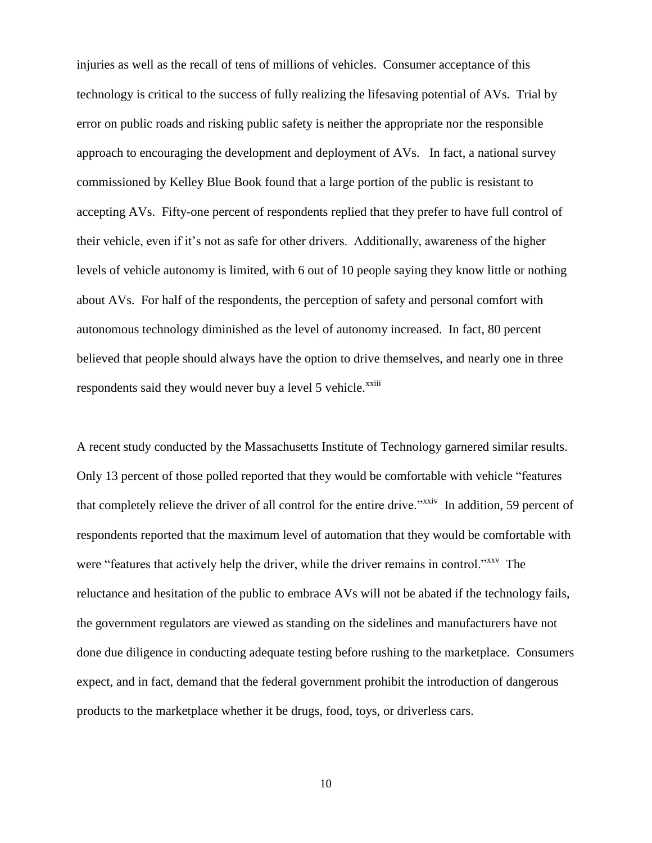injuries as well as the recall of tens of millions of vehicles. Consumer acceptance of this technology is critical to the success of fully realizing the lifesaving potential of AVs. Trial by error on public roads and risking public safety is neither the appropriate nor the responsible approach to encouraging the development and deployment of AVs. In fact, a national survey commissioned by Kelley Blue Book found that a large portion of the public is resistant to accepting AVs. Fifty-one percent of respondents replied that they prefer to have full control of their vehicle, even if it's not as safe for other drivers. Additionally, awareness of the higher levels of vehicle autonomy is limited, with 6 out of 10 people saying they know little or nothing about AVs. For half of the respondents, the perception of safety and personal comfort with autonomous technology diminished as the level of autonomy increased. In fact, 80 percent believed that people should always have the option to drive themselves, and nearly one in three respondents said they would never buy a level 5 vehicle.<sup>xxiii</sup>

A recent study conducted by the Massachusetts Institute of Technology garnered similar results. Only 13 percent of those polled reported that they would be comfortable with vehicle "features that completely relieve the driver of all control for the entire drive."<sup>xxiv</sup> In addition, 59 percent of respondents reported that the maximum level of automation that they would be comfortable with were "features that actively help the driver, while the driver remains in control."<sup>xxv</sup> The reluctance and hesitation of the public to embrace AVs will not be abated if the technology fails, the government regulators are viewed as standing on the sidelines and manufacturers have not done due diligence in conducting adequate testing before rushing to the marketplace. Consumers expect, and in fact, demand that the federal government prohibit the introduction of dangerous products to the marketplace whether it be drugs, food, toys, or driverless cars.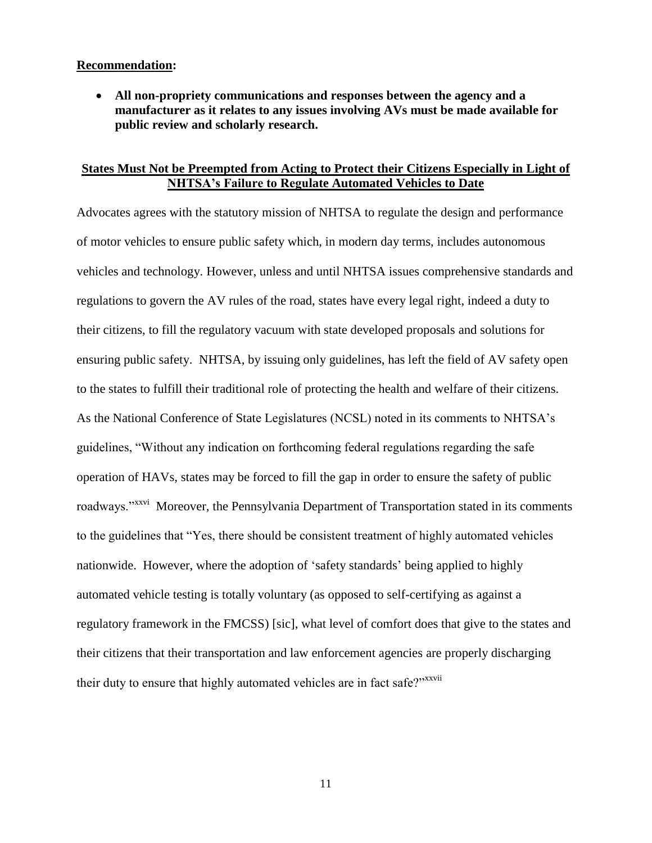### **Recommendation:**

 **All non-propriety communications and responses between the agency and a manufacturer as it relates to any issues involving AVs must be made available for public review and scholarly research.**

### **States Must Not be Preempted from Acting to Protect their Citizens Especially in Light of NHTSA's Failure to Regulate Automated Vehicles to Date**

Advocates agrees with the statutory mission of NHTSA to regulate the design and performance of motor vehicles to ensure public safety which, in modern day terms, includes autonomous vehicles and technology. However, unless and until NHTSA issues comprehensive standards and regulations to govern the AV rules of the road, states have every legal right, indeed a duty to their citizens, to fill the regulatory vacuum with state developed proposals and solutions for ensuring public safety. NHTSA, by issuing only guidelines, has left the field of AV safety open to the states to fulfill their traditional role of protecting the health and welfare of their citizens. As the National Conference of State Legislatures (NCSL) noted in its comments to NHTSA's guidelines, "Without any indication on forthcoming federal regulations regarding the safe operation of HAVs, states may be forced to fill the gap in order to ensure the safety of public roadways."<sup>xxvi</sup> Moreover, the Pennsylvania Department of Transportation stated in its comments to the guidelines that "Yes, there should be consistent treatment of highly automated vehicles nationwide. However, where the adoption of 'safety standards' being applied to highly automated vehicle testing is totally voluntary (as opposed to self-certifying as against a regulatory framework in the FMCSS) [sic], what level of comfort does that give to the states and their citizens that their transportation and law enforcement agencies are properly discharging their duty to ensure that highly automated vehicles are in fact safe?"<sup>xxvii</sup>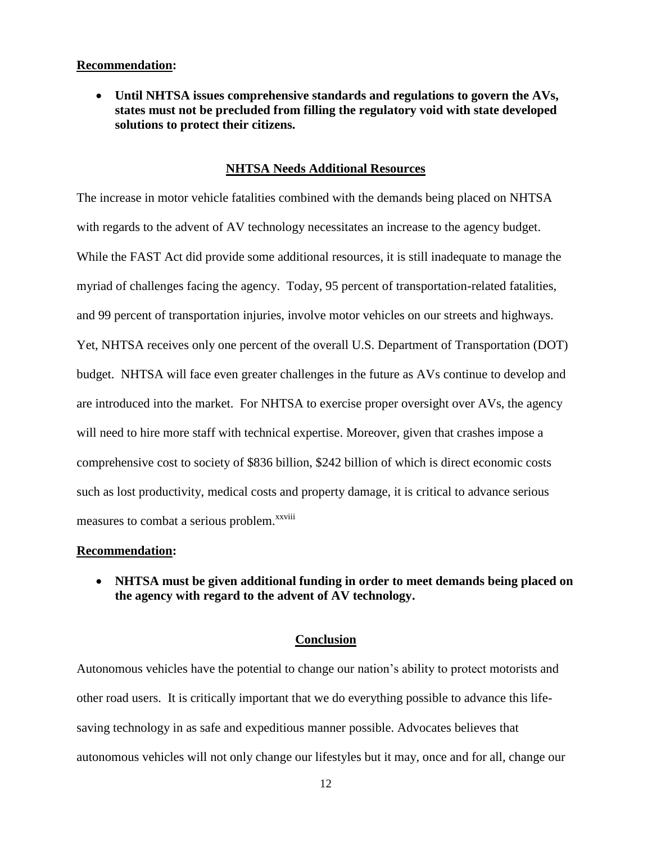#### **Recommendation:**

 **Until NHTSA issues comprehensive standards and regulations to govern the AVs, states must not be precluded from filling the regulatory void with state developed solutions to protect their citizens.**

### **NHTSA Needs Additional Resources**

The increase in motor vehicle fatalities combined with the demands being placed on NHTSA with regards to the advent of AV technology necessitates an increase to the agency budget. While the FAST Act did provide some additional resources, it is still inadequate to manage the myriad of challenges facing the agency. Today, 95 percent of transportation-related fatalities, and 99 percent of transportation injuries, involve motor vehicles on our streets and highways. Yet, NHTSA receives only one percent of the overall U.S. Department of Transportation (DOT) budget. NHTSA will face even greater challenges in the future as AVs continue to develop and are introduced into the market. For NHTSA to exercise proper oversight over AVs, the agency will need to hire more staff with technical expertise. Moreover, given that crashes impose a comprehensive cost to society of \$836 billion, \$242 billion of which is direct economic costs such as lost productivity, medical costs and property damage, it is critical to advance serious measures to combat a serious problem.<sup>xxviii</sup>

#### **Recommendation:**

 **NHTSA must be given additional funding in order to meet demands being placed on the agency with regard to the advent of AV technology.**

#### **Conclusion**

Autonomous vehicles have the potential to change our nation's ability to protect motorists and other road users. It is critically important that we do everything possible to advance this lifesaving technology in as safe and expeditious manner possible. Advocates believes that autonomous vehicles will not only change our lifestyles but it may, once and for all, change our